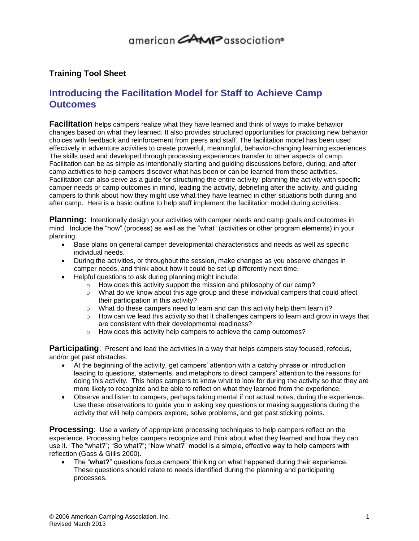# 

### **Training Tool Sheet**

### **Introducing the Facilitation Model for Staff to Achieve Camp Outcomes**

**Facilitation** helps campers realize what they have learned and think of ways to make behavior changes based on what they learned. It also provides structured opportunities for practicing new behavior choices with feedback and reinforcement from peers and staff. The facilitation model has been used effectively in adventure activities to create powerful, meaningful, behavior-changing learning experiences. The skills used and developed through processing experiences transfer to other aspects of camp. Facilitation can be as simple as intentionally starting and guiding discussions before, during, and after camp activities to help campers discover what has been or can be learned from these activities. Facilitation can also serve as a guide for structuring the entire activity: planning the activity with specific camper needs or camp outcomes in mind, leading the activity, debriefing after the activity, and guiding campers to think about how they might use what they have learned in other situations both during and after camp. Here is a basic outline to help staff implement the facilitation model during activities:

**Planning:** Intentionally design your activities with camper needs and camp goals and outcomes in mind. Include the "how" (process) as well as the "what" (activities or other program elements) in your planning.

- Base plans on general camper developmental characteristics and needs as well as specific individual needs.
- During the activities, or throughout the session, make changes as you observe changes in camper needs, and think about how it could be set up differently next time.
- Helpful questions to ask during planning might include:
	- o How does this activity support the mission and philosophy of our camp?
	- o What do we know about this age group and these individual campers that could affect their participation in this activity?
	- $\circ$  What do these campers need to learn and can this activity help them learn it?
	- $\circ$  How can we lead this activity so that it challenges campers to learn and grow in ways that are consistent with their developmental readiness?
	- o How does this activity help campers to achieve the camp outcomes?

**Participating**: Present and lead the activities in a way that helps campers stay focused, refocus, and/or get past obstacles.

- At the beginning of the activity, get campers' attention with a catchy phrase or introduction leading to questions, statements, and metaphors to direct campers' attention to the reasons for doing this activity. This helps campers to know what to look for during the activity so that they are more likely to recognize and be able to reflect on what they learned from the experience.
- Observe and listen to campers, perhaps taking mental if not actual notes, during the experience. Use these observations to guide you in asking key questions or making suggestions during the activity that will help campers explore, solve problems, and get past sticking points.

**Processing**: Use a variety of appropriate processing techniques to help campers reflect on the experience. Processing helps campers recognize and think about what they learned and how they can use it. The "what?"; "So what?"; "Now what?" model is a simple, effective way to help campers with reflection (Gass & Gillis 2000).

 The "**what?**" questions focus campers' thinking on what happened during their experience. These questions should relate to needs identified during the planning and participating processes.